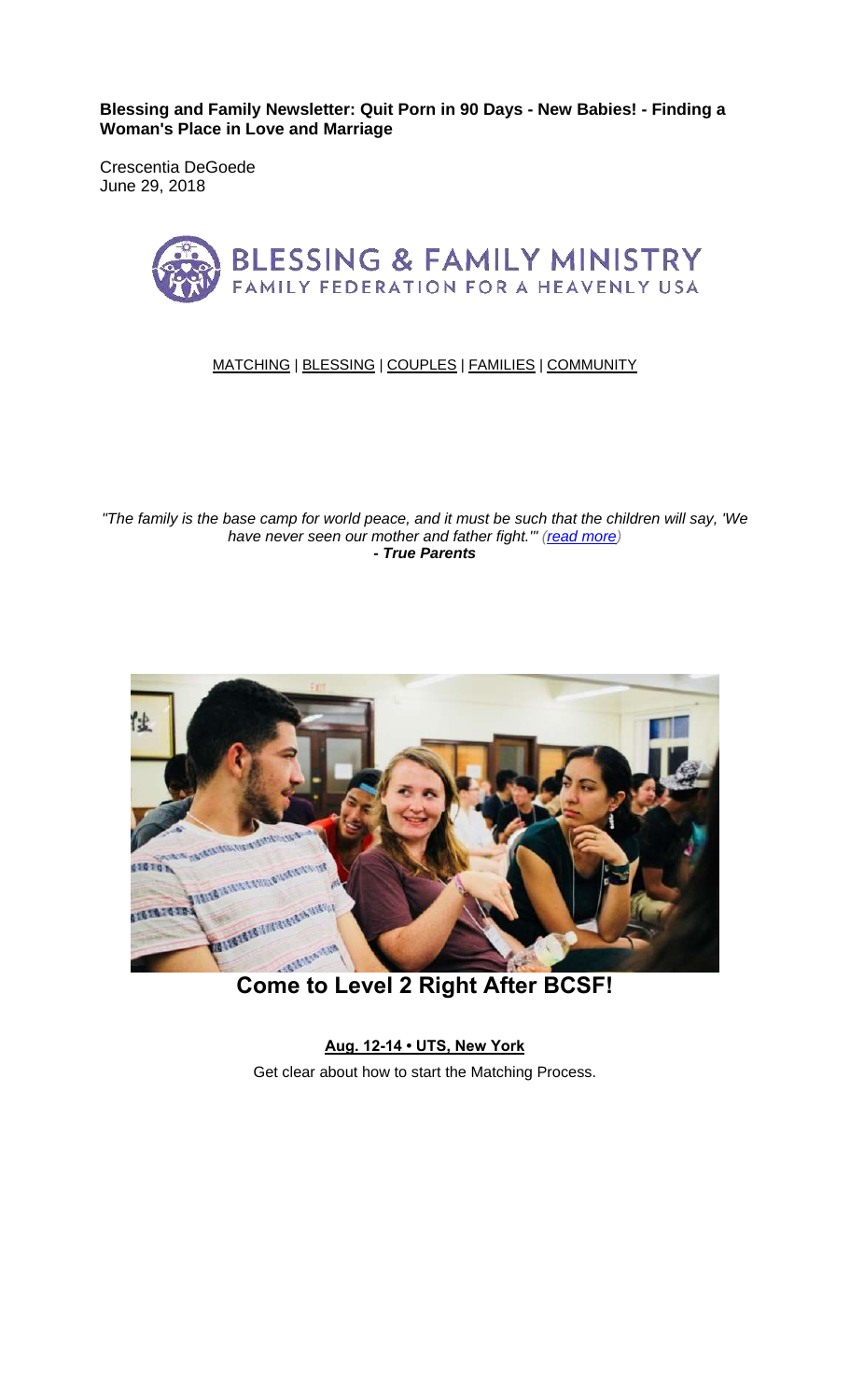**Blessing and Family Newsletter: Quit Porn in 90 Days - New Babies! - Finding a Woman's Place in Love and Marriage** 

Crescentia DeGoede June 29, 2018



#### MATCHING | BLESSING | COUPLES | FAMILIES | COMMUNITY

*"The family is the base camp for world peace, and it must be such that the children will say, 'We have never seen our mother and father fight.'" (read more) - True Parents*



**Aug. 12-14 • UTS, New York** Get clear about how to start the Matching Process.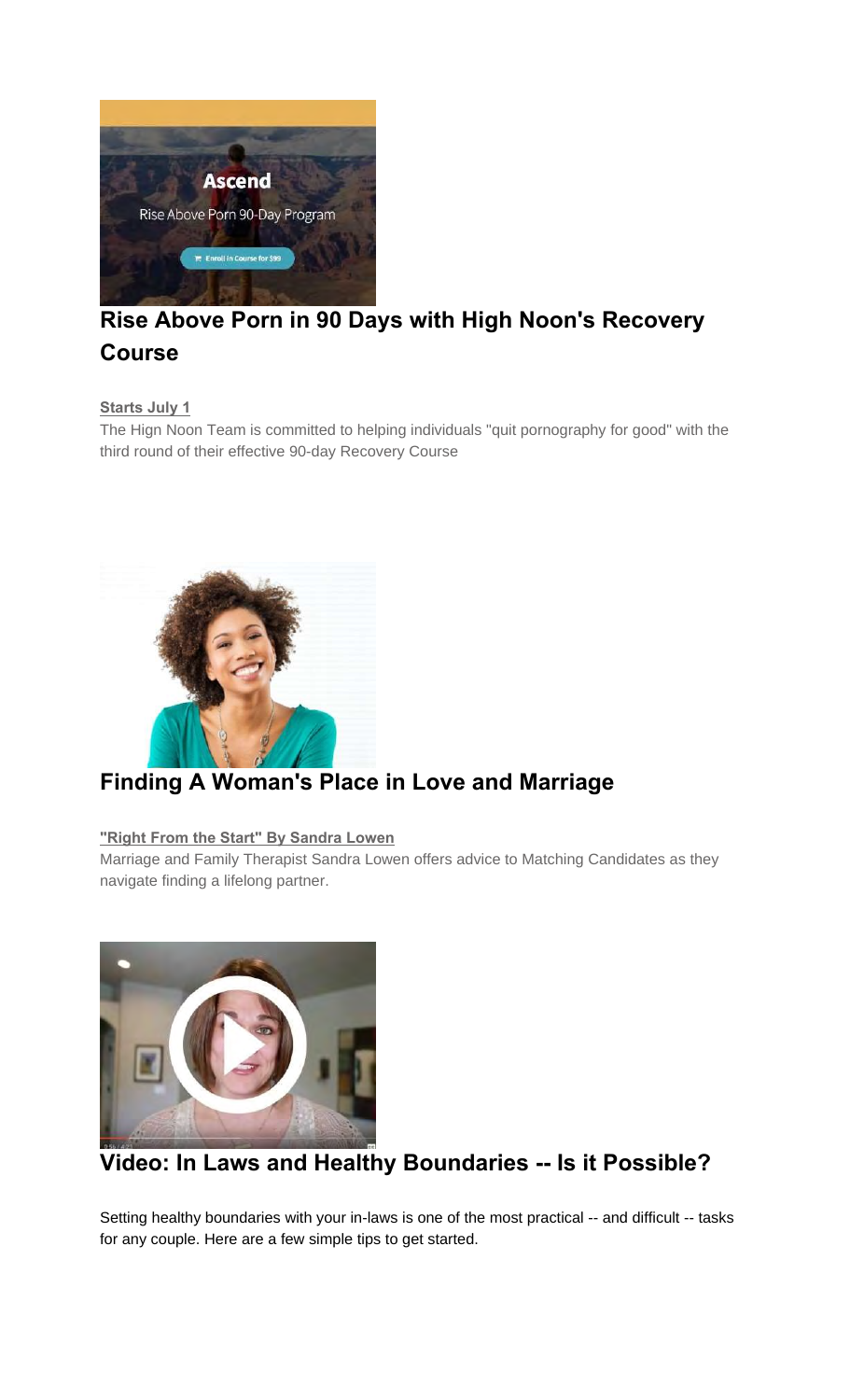

## **Rise Above Porn in 90 Days with High Noon's Recovery Course**

**Starts July 1**

The Hign Noon Team is committed to helping individuals "quit pornography for good" with the third round of their effective 90-day Recovery Course



### **Finding A Woman's Place in Love and Marriage**

#### **"Right From the Start" By Sandra Lowen**

Marriage and Family Therapist Sandra Lowen offers advice to Matching Candidates as they navigate finding a lifelong partner.



# **Video: In Laws and Healthy Boundaries -- Is it Possible?**

Setting healthy boundaries with your in-laws is one of the most practical -- and difficult -- tasks for any couple. Here are a few simple tips to get started.